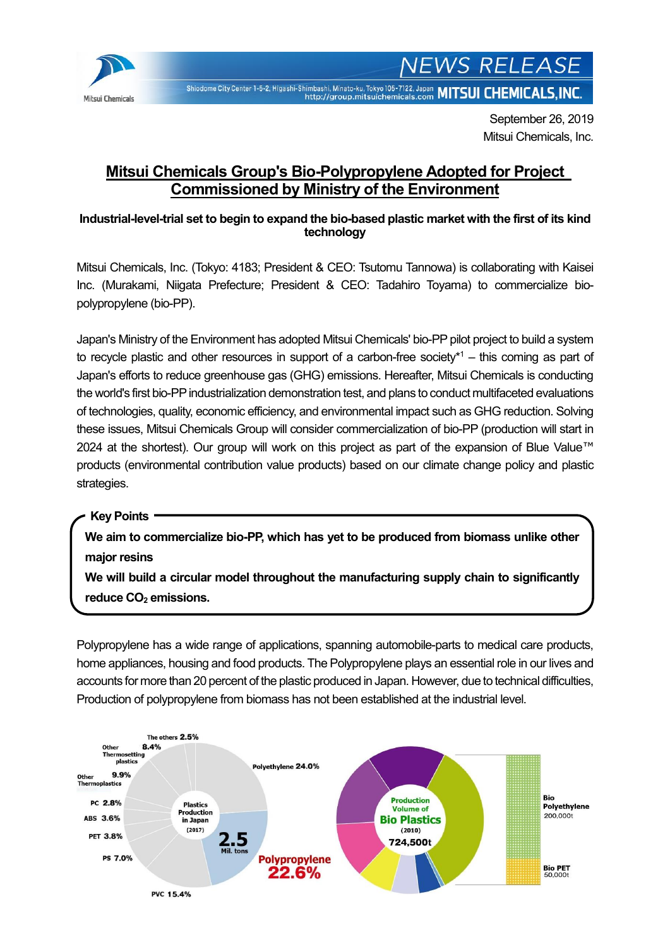

NEWS RELEASE

Shiodome City Center 1-5-2, Higashi-Shimbashi, Minato-ku, Tokyo 105-7122, Japan MITSUI CHEMICALS, INC.

September 26, 2019 Mitsui Chemicals, Inc.

## **Mitsui Chemicals Group's Bio-Polypropylene Adopted for Project Commissioned by Ministry of the Environment**

## **Industrial-level-trial set to begin to expand the bio-based plastic market with the first of its kind technology**

Mitsui Chemicals, Inc. (Tokyo: 4183; President & CEO: Tsutomu Tannowa) is collaborating with Kaisei Inc. (Murakami, Niigata Prefecture; President & CEO: Tadahiro Toyama) to commercialize biopolypropylene (bio-PP).

Japan's Ministry of the Environment has adopted Mitsui Chemicals' bio-PP pilot project to build a system to recycle plastic and other resources in support of a carbon-free society\* $1 -$  this coming as part of Japan's efforts to reduce greenhouse gas (GHG) emissions. Hereafter, Mitsui Chemicals is conducting the world's first bio-PP industrialization demonstration test, and plans to conduct multifaceted evaluations of technologies, quality, economic efficiency, and environmental impact such as GHG reduction. Solving these issues, Mitsui Chemicals Group will consider commercialization of bio-PP (production will start in 2024 at the shortest). Our group will work on this project as part of the expansion of Blue Value™ products (environmental contribution value products) based on our climate change policy and plastic strategies.

**Key Points**

**We aim to commercialize bio-PP, which has yet to be produced from biomass unlike other major resins**

**We will build a circular model throughout the manufacturing supply chain to significantly reduce CO<sup>2</sup> emissions.**

Polypropylene has a wide range of applications, spanning automobile-parts to medical care products, home appliances, housing and food products. The Polypropylene plays an essential role in our lives and accounts for more than 20 percent of the plastic produced in Japan. However, due to technical difficulties, Production of polypropylene from biomass has not been established at the industrial level.

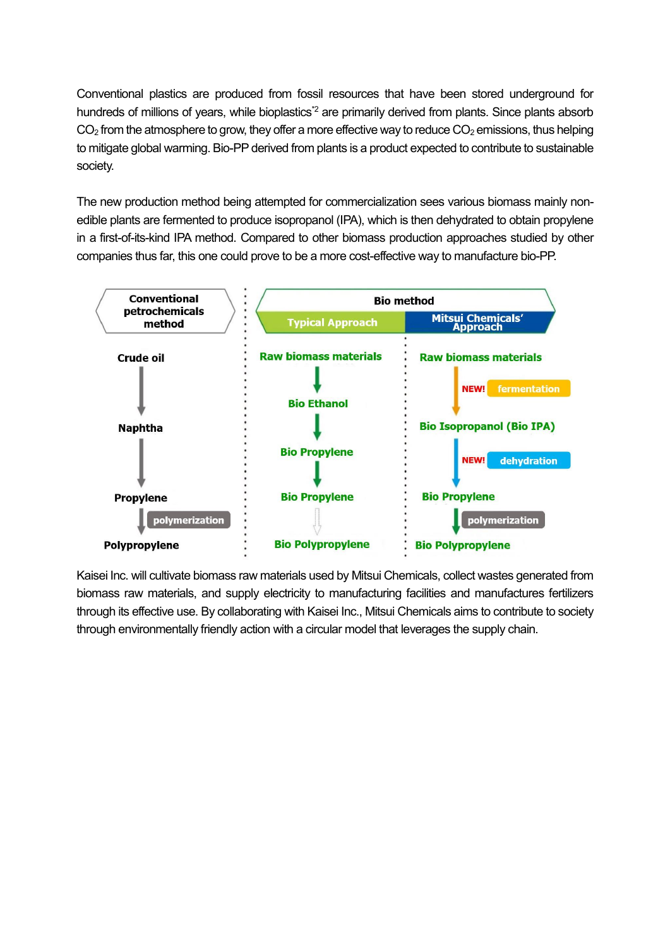Conventional plastics are produced from fossil resources that have been stored underground for hundreds of millions of years, while bioplastics<sup>\*2</sup> are primarily derived from plants. Since plants absorb  $CO<sub>2</sub>$  from the atmosphere to grow, they offer a more effective way to reduce  $CO<sub>2</sub>$  emissions, thus helping to mitigate global warming. Bio-PP derived from plants is a product expected to contribute to sustainable society.

The new production method being attempted for commercialization sees various biomass mainly nonedible plants are fermented to produce isopropanol (IPA), which is then dehydrated to obtain propylene in a first-of-its-kind IPA method. Compared to other biomass production approaches studied by other companies thus far, this one could prove to be a more cost-effective way to manufacture bio-PP.



Kaisei Inc. will cultivate biomass raw materials used by Mitsui Chemicals, collect wastes generated from biomass raw materials, and supply electricity to manufacturing facilities and manufactures fertilizers through its effective use. By collaborating with Kaisei Inc., Mitsui Chemicals aims to contribute to society through environmentally friendly action with a circular model that leverages the supply chain.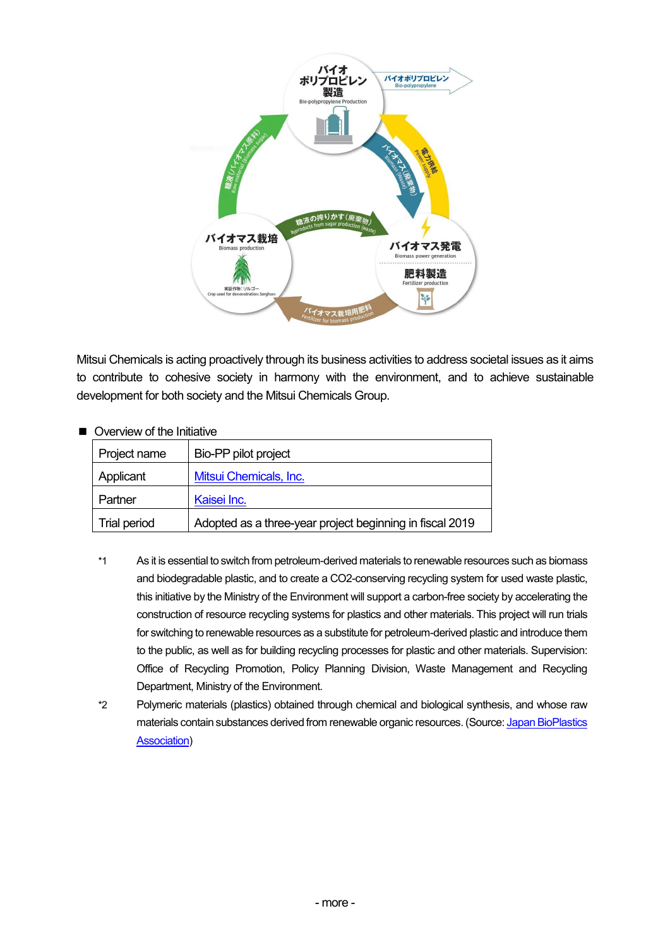

Mitsui Chemicals is acting proactively through its business activities to address societal issues as it aims to contribute to cohesive society in harmony with the environment, and to achieve sustainable development for both society and the Mitsui Chemicals Group.

## ■ Overview of the Initiative

| Project name        | Bio-PP pilot project                                     |
|---------------------|----------------------------------------------------------|
| Applicant           | Mitsui Chemicals, Inc.                                   |
| Partner             | Kaisei Inc.                                              |
| <b>Trial period</b> | Adopted as a three-year project beginning in fiscal 2019 |

- \*1 As it is essential to switch from petroleum-derived materials to renewable resources such as biomass and biodegradable plastic, and to create a CO2-conserving recycling system for used waste plastic, this initiative by the Ministry of the Environment will support a carbon-free society by accelerating the construction of resource recycling systems for plastics and other materials. This project will run trials for switching to renewable resources as a substitute for petroleum-derived plastic and introduce them to the public, as well as for building recycling processes for plastic and other materials. Supervision: Office of Recycling Promotion, Policy Planning Division, Waste Management and Recycling Department, Ministry of the Environment.
- \*2 Polymeric materials (plastics) obtained through chemical and biological synthesis, and whose raw materials contain substances derived from renewable organic resources. (Source[: Japan BioPlastics](http://www.jbpaweb.net/english/english.htm)  [Association\)](http://www.jbpaweb.net/english/english.htm)